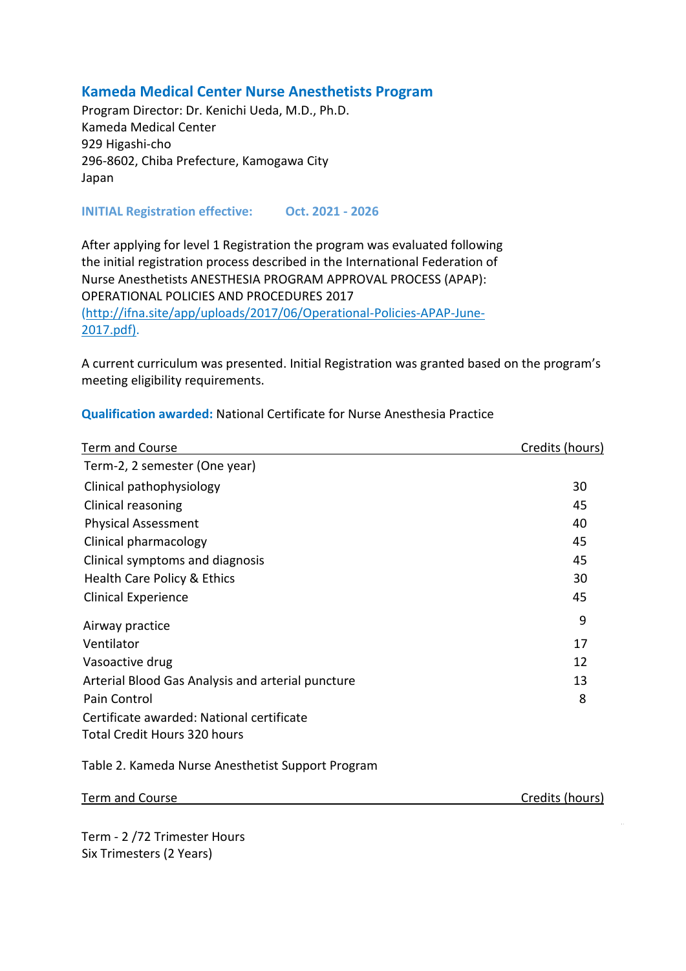## **Kameda Medical Center Nurse Anesthetists Program**

Program Director: Dr. Kenichi Ueda, M.D., Ph.D. Kameda Medical Center 929 Higashi-cho 296-8602, Chiba Prefecture, Kamogawa City Japan

**INITIAL Registration effective: Oct. 2021 - 2026**

After applying for level 1 Registration the program was evaluated following the initial registration process described in the International Federation of Nurse Anesthetists ANESTHESIA PROGRAM APPROVAL PROCESS (APAP): OPERATIONAL POLICIES AND PROCEDURES 2017 (http://ifna.site/app/uploads/2017/06/Operational-Policies-APAP-June-2017.pdf).

A current curriculum was presented. Initial Registration was granted based on the program's meeting eligibility requirements.

| <b>Term and Course</b>                            | Credits (hours) |
|---------------------------------------------------|-----------------|
| Term-2, 2 semester (One year)                     |                 |
| Clinical pathophysiology                          | 30              |
| Clinical reasoning                                | 45              |
| <b>Physical Assessment</b>                        | 40              |
| Clinical pharmacology                             | 45              |
| Clinical symptoms and diagnosis                   | 45              |
| Health Care Policy & Ethics                       | 30              |
| <b>Clinical Experience</b>                        | 45              |
| Airway practice                                   | 9               |
| Ventilator                                        | 17              |
| Vasoactive drug                                   | 12              |
| Arterial Blood Gas Analysis and arterial puncture | 13              |
| Pain Control                                      | 8               |
| Certificate awarded: National certificate         |                 |
| <b>Total Credit Hours 320 hours</b>               |                 |

**Qualification awarded:** National Certificate for Nurse Anesthesia Practice

Table 2. Kameda Nurse Anesthetist Support Program

| Credits (hours)<br><b>Term and Course</b> |  |
|-------------------------------------------|--|
|-------------------------------------------|--|

Term - 2 /72 Trimester Hours Six Trimesters (2 Years)